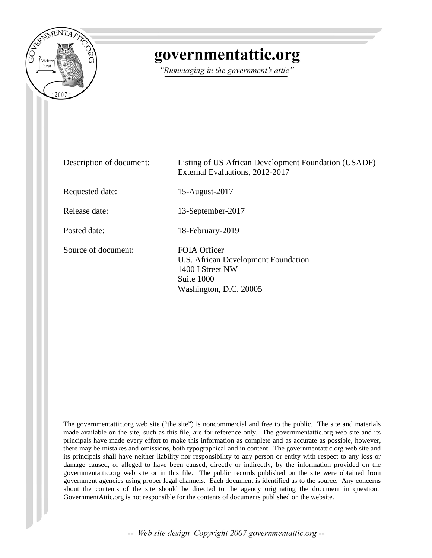

## governmentattic.org

"Rummaging in the government's attic"

| Description of document: | Listing of US African Development Foundation (USADF)<br>External Evaluations, 2012-2017                         |
|--------------------------|-----------------------------------------------------------------------------------------------------------------|
| Requested date:          | 15-August-2017                                                                                                  |
| Release date:            | 13-September-2017                                                                                               |
| Posted date:             | 18-February-2019                                                                                                |
| Source of document:      | FOIA Officer<br>U.S. African Development Foundation<br>1400 I Street NW<br>Suite 1000<br>Washington, D.C. 20005 |

The governmentattic.org web site ("the site") is noncommercial and free to the public. The site and materials made available on the site, such as this file, are for reference only. The governmentattic.org web site and its principals have made every effort to make this information as complete and as accurate as possible, however, there may be mistakes and omissions, both typographical and in content. The governmentattic.org web site and its principals shall have neither liability nor responsibility to any person or entity with respect to any loss or damage caused, or alleged to have been caused, directly or indirectly, by the information provided on the governmentattic.org web site or in this file. The public records published on the site were obtained from government agencies using proper legal channels. Each document is identified as to the source. Any concerns about the contents of the site should be directed to the agency originating the document in question. GovernmentAttic.org is not responsible for the contents of documents published on the website.

-- Web site design Copyright 2007 governmentattic.org --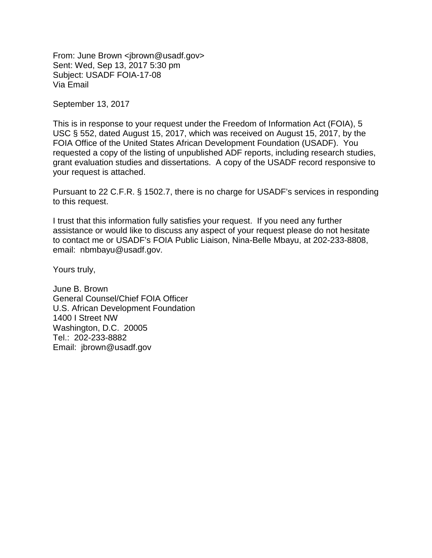From: June Brown <jbrown@usadf.gov> Sent: Wed, Sep 13, 2017 5:30 pm Subject: USADF FOIA-17-08 Via Email

September 13, 2017

This is in response to your request under the Freedom of Information Act (FOIA), 5 USC § 552, dated August 15, 2017, which was received on August 15, 2017, by the FOIA Office of the United States African Development Foundation (USADF). You requested a copy of the listing of unpublished ADF reports, including research studies, grant evaluation studies and dissertations. A copy of the USADF record responsive to your request is attached.

Pursuant to 22 C.F.R. § 1502.7, there is no charge for USADF's services in responding to this request.

I trust that this information fully satisfies your request. If you need any further assistance or would like to discuss any aspect of your request please do not hesitate to contact me or USADF's FOIA Public Liaison, Nina-Belle Mbayu, at 202-233-8808, email: nbmbayu@usadf.gov.

Yours truly,

June B. Brown General Counsel/Chief FOIA Officer U.S. African Development Foundation 1400 I Street NW Washington, D.C. 20005 Tel.: 202-233-8882 Email: jbrown@usadf.gov